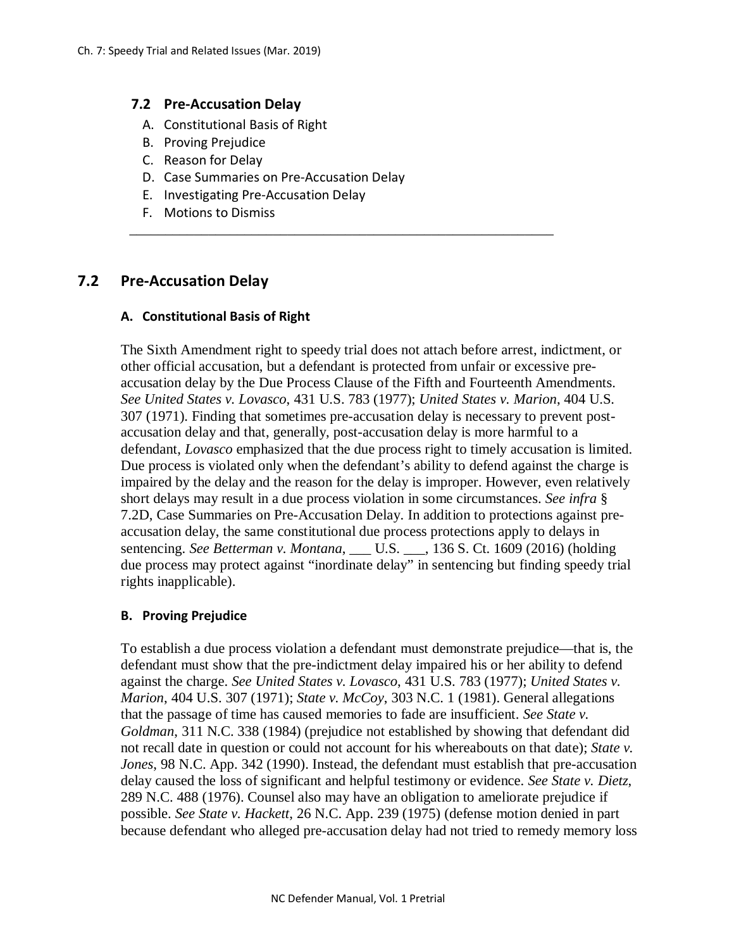# **7.2 Pre-Accusation Delay**

- A. Constitutional Basis of Right
- B. Proving Prejudice
- C. Reason for Delay
- D. Case Summaries on Pre-Accusation Delay

\_\_\_\_\_\_\_\_\_\_\_\_\_\_\_\_\_\_\_\_\_\_\_\_\_\_\_\_\_\_\_\_\_\_\_\_\_\_\_\_\_\_\_\_\_\_\_\_\_\_\_\_\_\_\_\_\_\_\_

- E. Investigating Pre-Accusation Delay
- F. Motions to Dismiss

# **7.2 Pre-Accusation Delay**

# **A. Constitutional Basis of Right**

The Sixth Amendment right to speedy trial does not attach before arrest, indictment, or other official accusation, but a defendant is protected from unfair or excessive preaccusation delay by the Due Process Clause of the Fifth and Fourteenth Amendments. *See United States v. Lovasco*, 431 U.S. 783 (1977); *United States v. Marion*, 404 U.S. 307 (1971). Finding that sometimes pre-accusation delay is necessary to prevent postaccusation delay and that, generally, post-accusation delay is more harmful to a defendant, *Lovasco* emphasized that the due process right to timely accusation is limited. Due process is violated only when the defendant's ability to defend against the charge is impaired by the delay and the reason for the delay is improper. However, even relatively short delays may result in a due process violation in some circumstances. *See infra* § 7.2D, Case Summaries on Pre-Accusation Delay. In addition to protections against preaccusation delay, the same constitutional due process protections apply to delays in sentencing. *See Betterman v. Montana*, \_\_\_ U.S. \_\_\_, 136 S. Ct. 1609 (2016) (holding due process may protect against "inordinate delay" in sentencing but finding speedy trial rights inapplicable).

#### **B. Proving Prejudice**

To establish a due process violation a defendant must demonstrate prejudice—that is, the defendant must show that the pre-indictment delay impaired his or her ability to defend against the charge. *See United States v. Lovasco*, 431 U.S. 783 (1977); *United States v. Marion*, 404 U.S. 307 (1971); *State v. McCoy*, 303 N.C. 1 (1981). General allegations that the passage of time has caused memories to fade are insufficient. *See State v. Goldman*, 311 N.C. 338 (1984) (prejudice not established by showing that defendant did not recall date in question or could not account for his whereabouts on that date); *State v. Jones*, 98 N.C. App. 342 (1990). Instead, the defendant must establish that pre-accusation delay caused the loss of significant and helpful testimony or evidence. *See State v. Dietz*, 289 N.C. 488 (1976). Counsel also may have an obligation to ameliorate prejudice if possible. *See State v. Hackett*, 26 N.C. App. 239 (1975) (defense motion denied in part because defendant who alleged pre-accusation delay had not tried to remedy memory loss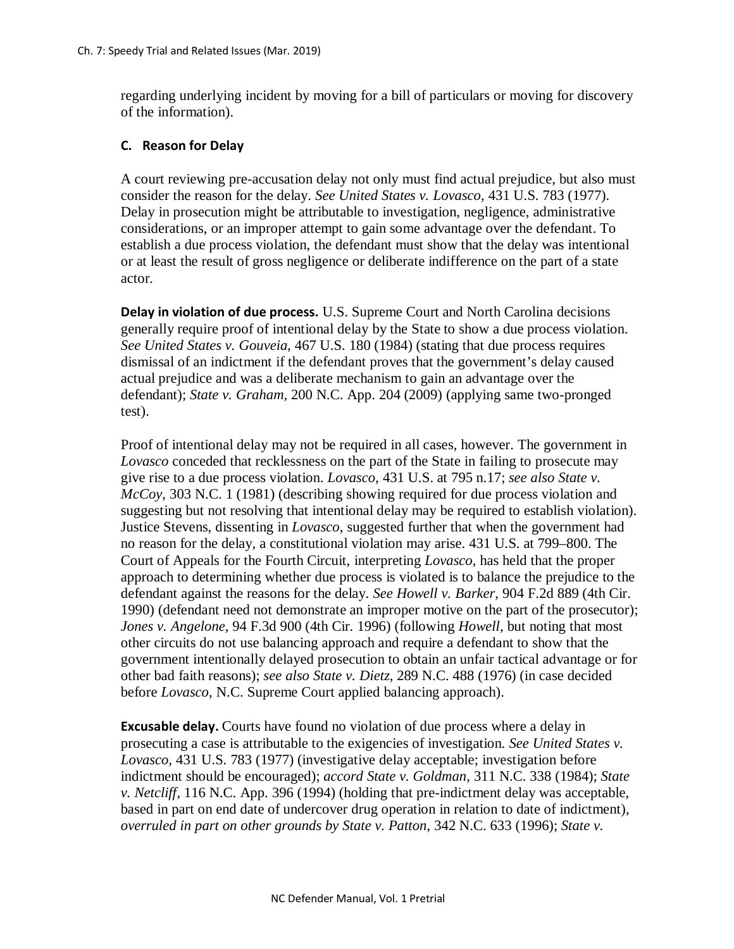regarding underlying incident by moving for a bill of particulars or moving for discovery of the information).

# **C. Reason for Delay**

A court reviewing pre-accusation delay not only must find actual prejudice, but also must consider the reason for the delay. *See United States v. Lovasco*, 431 U.S. 783 (1977). Delay in prosecution might be attributable to investigation, negligence, administrative considerations, or an improper attempt to gain some advantage over the defendant. To establish a due process violation, the defendant must show that the delay was intentional or at least the result of gross negligence or deliberate indifference on the part of a state actor.

**Delay in violation of due process.** U.S. Supreme Court and North Carolina decisions generally require proof of intentional delay by the State to show a due process violation. *See United States v. Gouveia*, 467 U.S. 180 (1984) (stating that due process requires dismissal of an indictment if the defendant proves that the government's delay caused actual prejudice and was a deliberate mechanism to gain an advantage over the defendant); *State v. Graham*, 200 N.C. App. 204 (2009) (applying same two-pronged test).

Proof of intentional delay may not be required in all cases, however. The government in *Lovasco* conceded that recklessness on the part of the State in failing to prosecute may give rise to a due process violation. *Lovasco*, 431 U.S. at 795 n.17; *see also State v. McCoy*, 303 N.C. 1 (1981) (describing showing required for due process violation and suggesting but not resolving that intentional delay may be required to establish violation). Justice Stevens, dissenting in *Lovasco*, suggested further that when the government had no reason for the delay, a constitutional violation may arise. 431 U.S. at 799–800. The Court of Appeals for the Fourth Circuit, interpreting *Lovasco*, has held that the proper approach to determining whether due process is violated is to balance the prejudice to the defendant against the reasons for the delay. *See Howell v. Barker*, 904 F.2d 889 (4th Cir. 1990) (defendant need not demonstrate an improper motive on the part of the prosecutor); *Jones v. Angelone*, 94 F.3d 900 (4th Cir. 1996) (following *Howell*, but noting that most other circuits do not use balancing approach and require a defendant to show that the government intentionally delayed prosecution to obtain an unfair tactical advantage or for other bad faith reasons); *see also State v. Dietz*, 289 N.C. 488 (1976) (in case decided before *Lovasco*, N.C. Supreme Court applied balancing approach).

**Excusable delay.** Courts have found no violation of due process where a delay in prosecuting a case is attributable to the exigencies of investigation. *See United States v. Lovasco*, 431 U.S. 783 (1977) (investigative delay acceptable; investigation before indictment should be encouraged); *accord State v. Goldman*, 311 N.C. 338 (1984); *State v. Netcliff*, 116 N.C. App. 396 (1994) (holding that pre-indictment delay was acceptable, based in part on end date of undercover drug operation in relation to date of indictment), *overruled in part on other grounds by State v. Patton*, 342 N.C. 633 (1996); *State v.*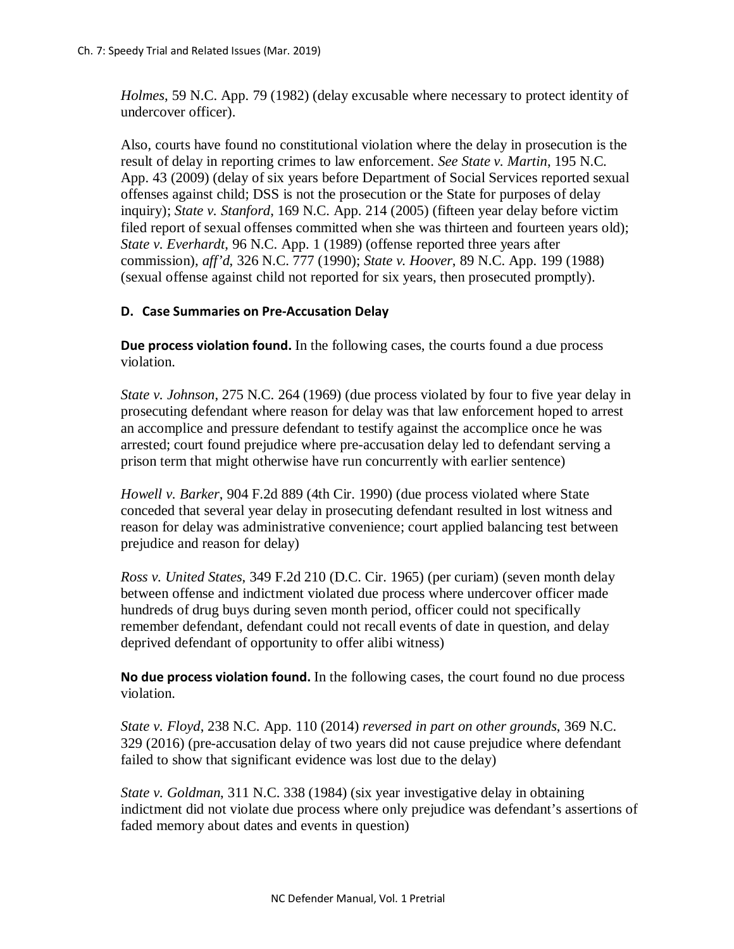*Holmes*, 59 N.C. App. 79 (1982) (delay excusable where necessary to protect identity of undercover officer).

Also, courts have found no constitutional violation where the delay in prosecution is the result of delay in reporting crimes to law enforcement. *See State v. Martin*, 195 N.C. App. 43 (2009) (delay of six years before Department of Social Services reported sexual offenses against child; DSS is not the prosecution or the State for purposes of delay inquiry); *State v. Stanford*, 169 N.C. App. 214 (2005) (fifteen year delay before victim filed report of sexual offenses committed when she was thirteen and fourteen years old); *State v. Everhardt*, 96 N.C. App. 1 (1989) (offense reported three years after commission), *aff'd*, 326 N.C. 777 (1990); *State v. Hoover*, 89 N.C. App. 199 (1988) (sexual offense against child not reported for six years, then prosecuted promptly).

# **D. Case Summaries on Pre-Accusation Delay**

**Due process violation found.** In the following cases, the courts found a due process violation.

*State v. Johnson*, 275 N.C. 264 (1969) (due process violated by four to five year delay in prosecuting defendant where reason for delay was that law enforcement hoped to arrest an accomplice and pressure defendant to testify against the accomplice once he was arrested; court found prejudice where pre-accusation delay led to defendant serving a prison term that might otherwise have run concurrently with earlier sentence)

*Howell v. Barker*, 904 F.2d 889 (4th Cir. 1990) (due process violated where State conceded that several year delay in prosecuting defendant resulted in lost witness and reason for delay was administrative convenience; court applied balancing test between prejudice and reason for delay)

*Ross v. United States*, 349 F.2d 210 (D.C. Cir. 1965) (per curiam) (seven month delay between offense and indictment violated due process where undercover officer made hundreds of drug buys during seven month period, officer could not specifically remember defendant, defendant could not recall events of date in question, and delay deprived defendant of opportunity to offer alibi witness)

**No due process violation found.** In the following cases, the court found no due process violation.

*State v. Floyd*, 238 N.C. App. 110 (2014) *reversed in part on other grounds*, 369 N.C. 329 (2016) (pre-accusation delay of two years did not cause prejudice where defendant failed to show that significant evidence was lost due to the delay)

*State v. Goldman*, 311 N.C. 338 (1984) (six year investigative delay in obtaining indictment did not violate due process where only prejudice was defendant's assertions of faded memory about dates and events in question)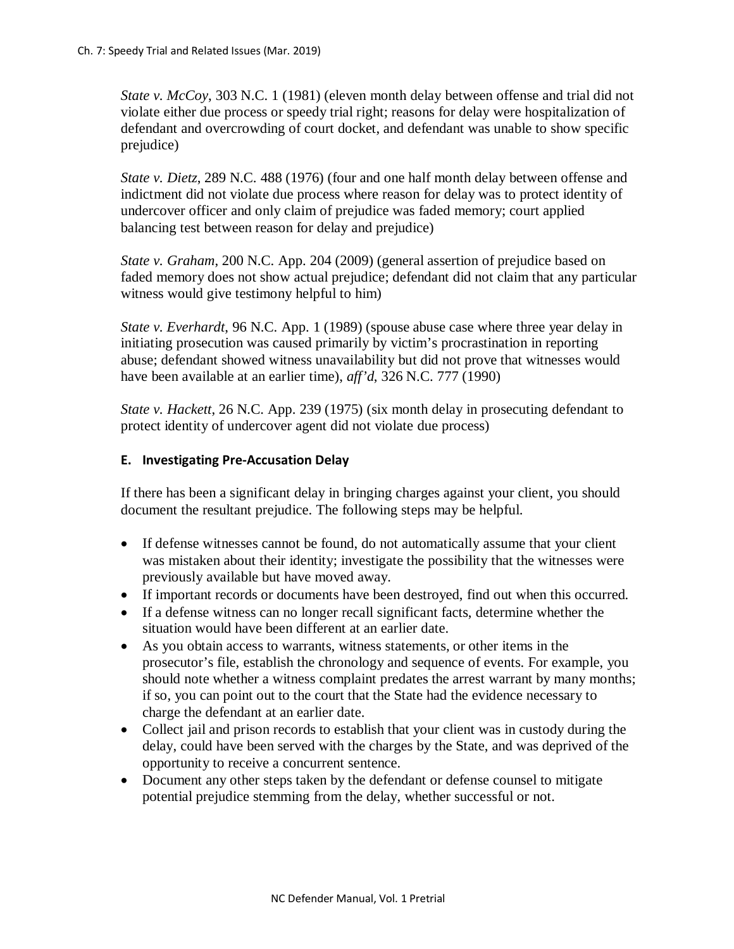*State v. McCoy*, 303 N.C. 1 (1981) (eleven month delay between offense and trial did not violate either due process or speedy trial right; reasons for delay were hospitalization of defendant and overcrowding of court docket, and defendant was unable to show specific prejudice)

*State v. Dietz*, 289 N.C. 488 (1976) (four and one half month delay between offense and indictment did not violate due process where reason for delay was to protect identity of undercover officer and only claim of prejudice was faded memory; court applied balancing test between reason for delay and prejudice)

*State v. Graham*, 200 N.C. App. 204 (2009) (general assertion of prejudice based on faded memory does not show actual prejudice; defendant did not claim that any particular witness would give testimony helpful to him)

*State v. Everhardt*, 96 N.C. App. 1 (1989) (spouse abuse case where three year delay in initiating prosecution was caused primarily by victim's procrastination in reporting abuse; defendant showed witness unavailability but did not prove that witnesses would have been available at an earlier time), *aff'd*, 326 N.C. 777 (1990)

*State v. Hackett*, 26 N.C. App. 239 (1975) (six month delay in prosecuting defendant to protect identity of undercover agent did not violate due process)

# **E. Investigating Pre-Accusation Delay**

If there has been a significant delay in bringing charges against your client, you should document the resultant prejudice. The following steps may be helpful.

- If defense witnesses cannot be found, do not automatically assume that your client was mistaken about their identity; investigate the possibility that the witnesses were previously available but have moved away.
- If important records or documents have been destroyed, find out when this occurred.
- If a defense witness can no longer recall significant facts, determine whether the situation would have been different at an earlier date.
- As you obtain access to warrants, witness statements, or other items in the prosecutor's file, establish the chronology and sequence of events. For example, you should note whether a witness complaint predates the arrest warrant by many months; if so, you can point out to the court that the State had the evidence necessary to charge the defendant at an earlier date.
- Collect jail and prison records to establish that your client was in custody during the delay, could have been served with the charges by the State, and was deprived of the opportunity to receive a concurrent sentence.
- Document any other steps taken by the defendant or defense counsel to mitigate potential prejudice stemming from the delay, whether successful or not.